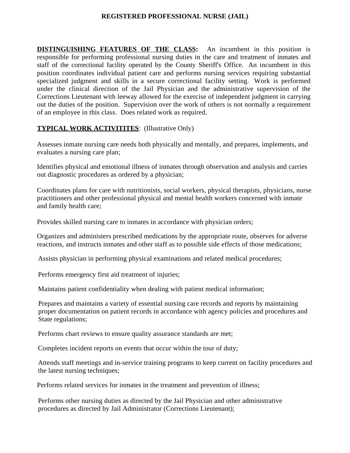### **REGISTERED PROFESSIONAL NURSE (JAIL)**

**DISTINGUISHING FEATURES OF THE CLASS:** An incumbent in this position is responsible for performing professional nursing duties in the care and treatment of inmates and staff of the correctional facility operated by the County Sheriff's Office. An incumbent in this position coordinates individual patient care and performs nursing services requiring substantial specialized judgment and skills in a secure correctional facility setting. Work is performed under the clinical direction of the Jail Physician and the administrative supervision of the Corrections Lieutenant with leeway allowed for the exercise of independent judgment in carrying out the duties of the position. Supervision over the work of others is not normally a requirement of an employee in this class. Does related work as required.

# **TYPICAL WORK ACTIVITITES:** (Illustrative Only)

Assesses inmate nursing care needs both physically and mentally, and prepares, implements, and evaluates a nursing care plan;

Identifies physical and emotional illness of inmates through observation and analysis and carries out diagnostic procedures as ordered by a physician;

Coordinates plans for care with nutritionists, social workers, physical therapists, physicians, nurse practitioners and other professional physical and mental health workers concerned with inmate and family health care;

Provides skilled nursing care to inmates in accordance with physician orders;

Organizes and administers prescribed medications by the appropriate route, observes for adverse reactions, and instructs inmates and other staff as to possible side effects of those medications;

Assists physician in performing physical examinations and related medical procedures;

Performs emergency first aid treatment of injuries;

Maintains patient confidentiality when dealing with patient medical information;

Prepares and maintains a variety of essential nursing care records and reports by maintaining proper documentation on patient records in accordance with agency policies and procedures and State regulations;

Performs chart reviews to ensure quality assurance standards are met;

Completes incident reports on events that occur within the tour of duty;

Attends staff meetings and in-service training programs to keep current on facility procedures and the latest nursing techniques;

Performs related services for inmates in the treatment and prevention of illness;

Performs other nursing duties as directed by the Jail Physician and other administrative procedures as directed by Jail Administrator (Corrections Lieutenant);